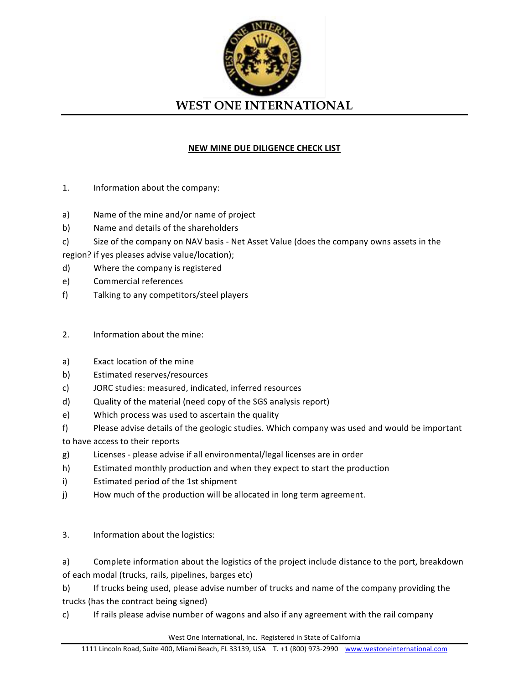

## **NEW MINE DUE DILIGENCE CHECK LIST**

- 1. Information about the company:
- a) Name of the mine and/or name of project
- b) Name and details of the shareholders
- c) Size of the company on NAV basis Net Asset Value (does the company owns assets in the

region? if yes pleases advise value/location);

- d) Where the company is registered
- e) Commercial references
- f) Talking to any competitors/steel players

## 2. Information about the mine:

- a) Exact location of the mine
- b) Estimated reserves/resources
- c) JORC studies: measured, indicated, inferred resources
- d) Quality of the material (need copy of the SGS analysis report)
- e) Which process was used to ascertain the quality
- f) Please advise details of the geologic studies. Which company was used and would be important
- to have access to their reports
- g) Licenses please advise if all environmental/legal licenses are in order
- h) Estimated monthly production and when they expect to start the production
- i) Estimated period of the 1st shipment
- j) How much of the production will be allocated in long term agreement.
- 3. Information about the logistics:
- a) Complete information about the logistics of the project include distance to the port, breakdown of each modal (trucks, rails, pipelines, barges etc)

b) If trucks being used, please advise number of trucks and name of the company providing the trucks (has the contract being signed)

c) If rails please advise number of wagons and also if any agreement with the rail company